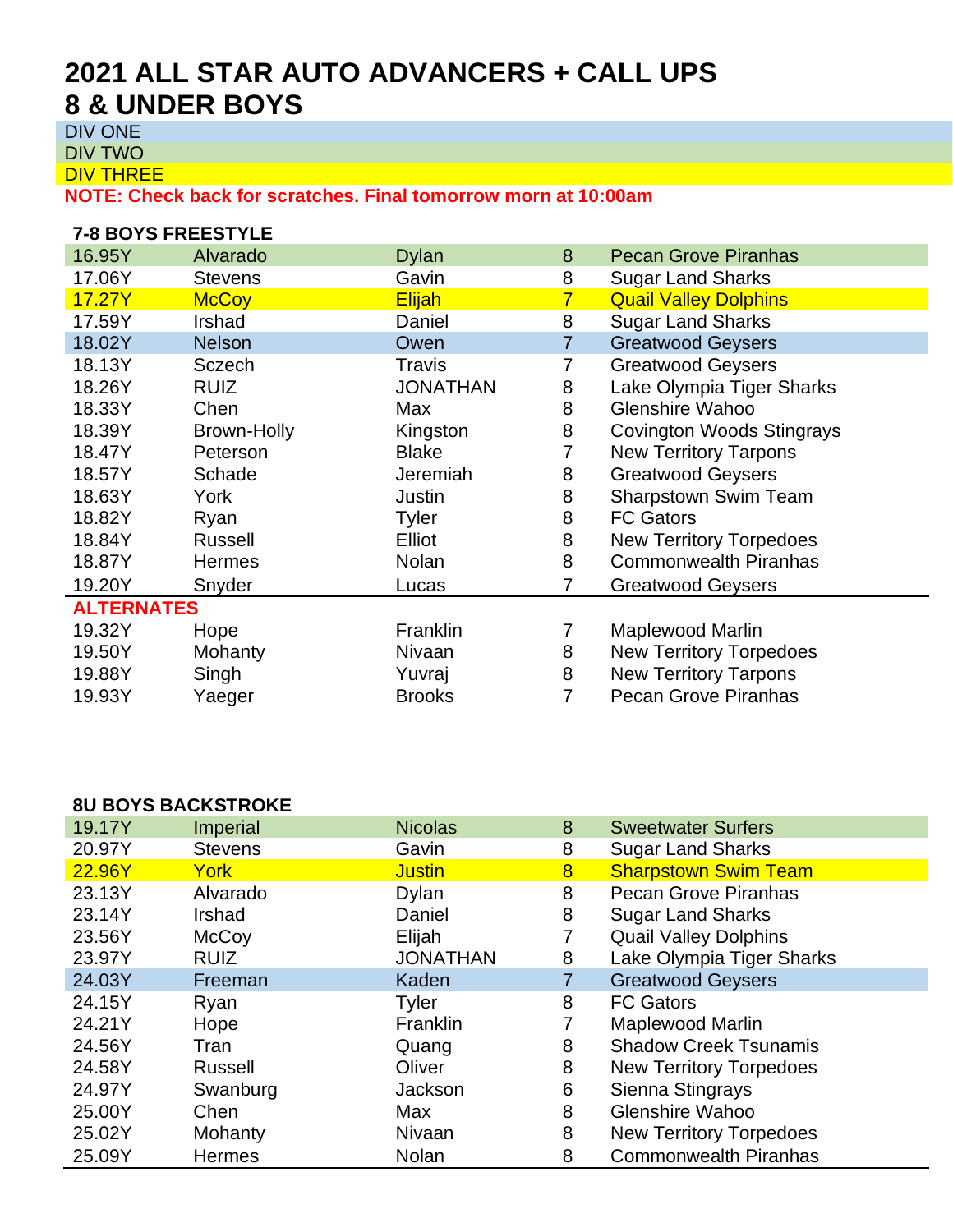# **2021 ALL STAR AUTO ADVANCERS + CALL UPS 8 & UNDER BOYS**

DIV ONE

DIV TWO

DIV THREE

**NOTE: Check back for scratches. Final tomorrow morn at 10:00am**

| <b>7-8 BOYS FREESTYLE</b> |                |                 |                |                                |  |  |
|---------------------------|----------------|-----------------|----------------|--------------------------------|--|--|
| 16.95Y                    | Alvarado       | <b>Dylan</b>    | 8              | <b>Pecan Grove Piranhas</b>    |  |  |
| 17.06Y                    | <b>Stevens</b> | Gavin           | 8              | <b>Sugar Land Sharks</b>       |  |  |
| 17.27Y                    | <b>McCoy</b>   | Elijah          | $\overline{7}$ | <b>Quail Valley Dolphins</b>   |  |  |
| 17.59Y                    | Irshad         | Daniel          | 8              | <b>Sugar Land Sharks</b>       |  |  |
| 18.02Y                    | <b>Nelson</b>  | Owen            | 7              | <b>Greatwood Geysers</b>       |  |  |
| 18.13Y                    | Sczech         | Travis          | 7              | <b>Greatwood Geysers</b>       |  |  |
| 18.26Y                    | <b>RUIZ</b>    | <b>JONATHAN</b> | 8              | Lake Olympia Tiger Sharks      |  |  |
| 18.33Y                    | Chen           | Max             | 8              | <b>Glenshire Wahoo</b>         |  |  |
| 18.39Y                    | Brown-Holly    | Kingston        | 8              | Covington Woods Stingrays      |  |  |
| 18.47Y                    | Peterson       | <b>Blake</b>    | 7              | <b>New Territory Tarpons</b>   |  |  |
| 18.57Y                    | Schade         | Jeremiah        | 8              | <b>Greatwood Geysers</b>       |  |  |
| 18.63Y                    | York           | Justin          | 8              | <b>Sharpstown Swim Team</b>    |  |  |
| 18.82Y                    | Ryan           | <b>Tyler</b>    | 8              | <b>FC Gators</b>               |  |  |
| 18.84Y                    | <b>Russell</b> | Elliot          | 8              | <b>New Territory Torpedoes</b> |  |  |
| 18.87Y                    | <b>Hermes</b>  | Nolan           | 8              | <b>Commonwealth Piranhas</b>   |  |  |
| 19.20Y                    | Snyder         | Lucas           | 7              | <b>Greatwood Geysers</b>       |  |  |
| <b>ALTERNATES</b>         |                |                 |                |                                |  |  |
| 19.32Y                    | Hope           | Franklin        | 7              | Maplewood Marlin               |  |  |
| 19.50Y                    | Mohanty        | Nivaan          | 8              | <b>New Territory Torpedoes</b> |  |  |
| 19.88Y                    | Singh          | Yuvraj          | 8              | <b>New Territory Tarpons</b>   |  |  |
| 19.93Y                    | Yaeger         | <b>Brooks</b>   | 7              | <b>Pecan Grove Piranhas</b>    |  |  |

#### **8U BOYS BACKSTROKE**

| 19.17Y | <b>Imperial</b> | <b>Nicolas</b>  | 8              | <b>Sweetwater Surfers</b>      |
|--------|-----------------|-----------------|----------------|--------------------------------|
| 20.97Y | <b>Stevens</b>  | Gavin           | 8              | <b>Sugar Land Sharks</b>       |
| 22.96Y | York            | <b>Justin</b>   | 8              | <b>Sharpstown Swim Team</b>    |
| 23.13Y | Alvarado        | <b>Dylan</b>    | 8              | <b>Pecan Grove Piranhas</b>    |
| 23.14Y | Irshad          | Daniel          | 8              | <b>Sugar Land Sharks</b>       |
| 23.56Y | McCoy           | Elijah          | 7              | <b>Quail Valley Dolphins</b>   |
| 23.97Y | <b>RUIZ</b>     | <b>JONATHAN</b> | 8              | Lake Olympia Tiger Sharks      |
| 24.03Y | Freeman         | Kaden           | $\overline{7}$ | <b>Greatwood Geysers</b>       |
| 24.15Y | Ryan            | Tyler           | 8              | <b>FC Gators</b>               |
| 24.21Y | Hope            | Franklin        | 7              | Maplewood Marlin               |
| 24.56Y | Tran            | Quang           | 8              | <b>Shadow Creek Tsunamis</b>   |
| 24.58Y | <b>Russell</b>  | Oliver          | 8              | <b>New Territory Torpedoes</b> |
| 24.97Y | Swanburg        | Jackson         | 6              | Sienna Stingrays               |
| 25.00Y | Chen            | Max             | 8              | <b>Glenshire Wahoo</b>         |
| 25.02Y | Mohanty         | Nivaan          | 8              | <b>New Territory Torpedoes</b> |
| 25.09Y | <b>Hermes</b>   | <b>Nolan</b>    | 8              | <b>Commonwealth Piranhas</b>   |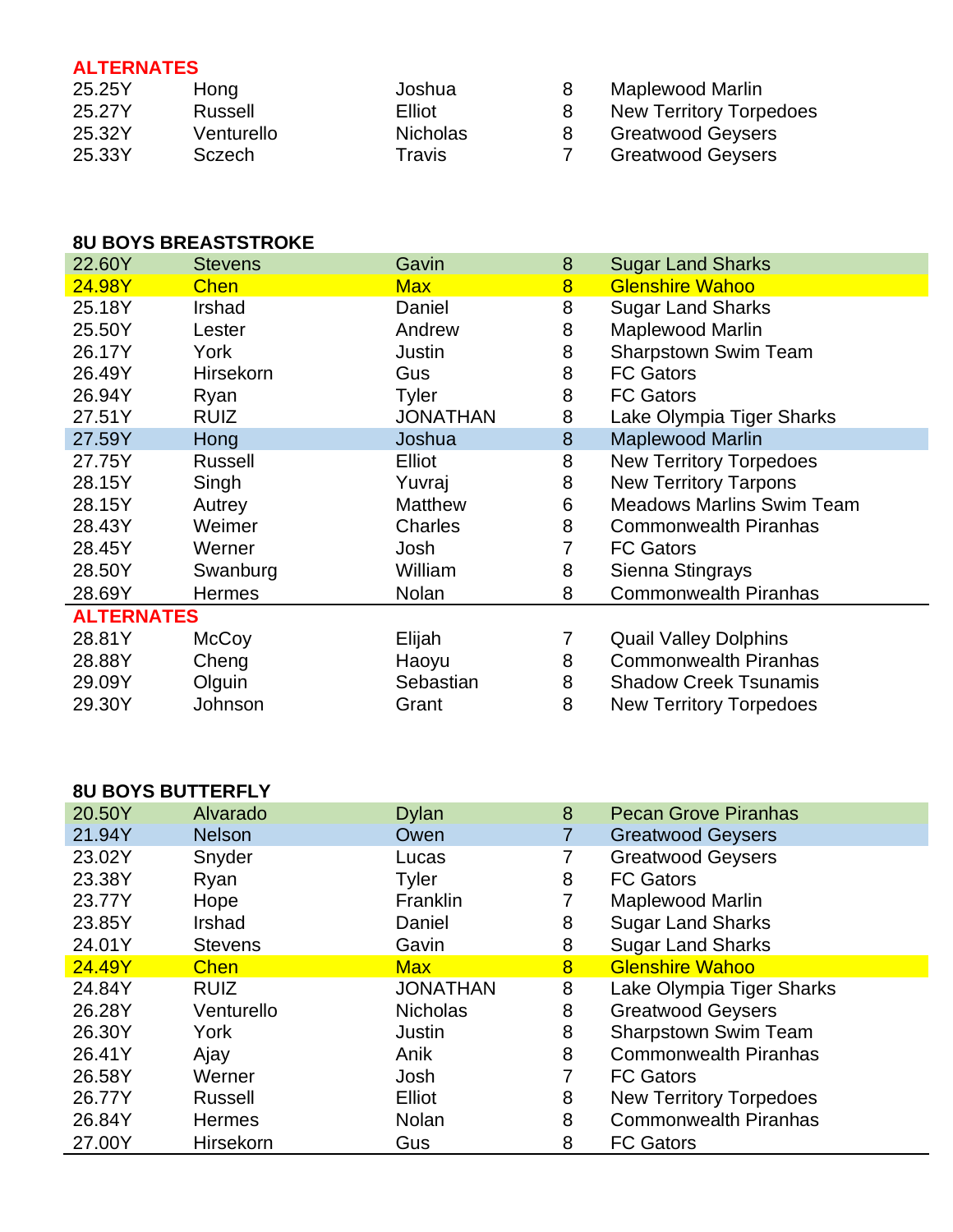## **ALTERNATES**

| 25.25Y | Hong       | Joshua          | Maplewood Marlin         |
|--------|------------|-----------------|--------------------------|
| 25.27Y | Russell    | Elliot          | New Territory Torpedoes  |
| 25.32Y | Venturello | <b>Nicholas</b> | <b>Greatwood Geysers</b> |
| 25.33Y | Sczech     | Travis          | <b>Greatwood Geysers</b> |

### **8U BOYS BREASTSTROKE**

| 22.60Y            | <b>Stevens</b> | Gavin           | 8              | <b>Sugar Land Sharks</b>         |
|-------------------|----------------|-----------------|----------------|----------------------------------|
| 24.98Y            | <b>Chen</b>    | <b>Max</b>      | $\overline{8}$ | <b>Glenshire Wahoo</b>           |
| 25.18Y            | Irshad         | Daniel          | 8              | <b>Sugar Land Sharks</b>         |
| 25.50Y            | Lester         | Andrew          | 8              | Maplewood Marlin                 |
| 26.17Y            | York           | Justin          | 8              | <b>Sharpstown Swim Team</b>      |
| 26.49Y            | Hirsekorn      | Gus             | 8              | <b>FC Gators</b>                 |
| 26.94Y            | Ryan           | Tyler           | 8              | <b>FC Gators</b>                 |
| 27.51Y            | <b>RUIZ</b>    | <b>JONATHAN</b> | 8              | Lake Olympia Tiger Sharks        |
| 27.59Y            | Hong           | Joshua          | 8              | <b>Maplewood Marlin</b>          |
| 27.75Y            | Russell        | Elliot          | 8              | <b>New Territory Torpedoes</b>   |
| 28.15Y            | Singh          | Yuvraj          | 8              | <b>New Territory Tarpons</b>     |
| 28.15Y            | Autrey         | <b>Matthew</b>  | 6              | <b>Meadows Marlins Swim Team</b> |
| 28.43Y            | Weimer         | Charles         | 8              | <b>Commonwealth Piranhas</b>     |
| 28.45Y            | Werner         | Josh            | 7              | <b>FC Gators</b>                 |
| 28.50Y            | Swanburg       | William         | 8              | Sienna Stingrays                 |
| 28.69Y            | <b>Hermes</b>  | Nolan           | 8              | <b>Commonwealth Piranhas</b>     |
| <b>ALTERNATES</b> |                |                 |                |                                  |
| 28.81Y            | McCoy          | Elijah          | 7              | <b>Quail Valley Dolphins</b>     |
| 28.88Y            | Cheng          | Haoyu           | 8              | <b>Commonwealth Piranhas</b>     |
| 29.09Y            | Olguin         | Sebastian       | 8              | <b>Shadow Creek Tsunamis</b>     |
| 29.30Y            | Johnson        | Grant           | 8              | <b>New Territory Torpedoes</b>   |
|                   |                |                 |                |                                  |

## **8U BOYS BUTTERFLY**

| °° - - - - - - - - - - - - - - |                |                 |                |                                |  |
|--------------------------------|----------------|-----------------|----------------|--------------------------------|--|
| 20.50Y                         | Alvarado       | <b>Dylan</b>    | 8              | <b>Pecan Grove Piranhas</b>    |  |
| 21.94Y                         | <b>Nelson</b>  | Owen            | 7              | <b>Greatwood Geysers</b>       |  |
| 23.02Y                         | Snyder         | Lucas           |                | <b>Greatwood Geysers</b>       |  |
| 23.38Y                         | Ryan           | Tyler           | 8              | <b>FC Gators</b>               |  |
| 23.77Y                         | Hope           | Franklin        | 7              | <b>Maplewood Marlin</b>        |  |
| 23.85Y                         | Irshad         | Daniel          | 8              | <b>Sugar Land Sharks</b>       |  |
| 24.01Y                         | <b>Stevens</b> | Gavin           | 8              | <b>Sugar Land Sharks</b>       |  |
| 24.49Y                         | <b>Chen</b>    | <b>Max</b>      | 8              | <b>Glenshire Wahoo</b>         |  |
| 24.84Y                         | <b>RUIZ</b>    | <b>JONATHAN</b> | 8              | Lake Olympia Tiger Sharks      |  |
| 26.28Y                         | Venturello     | <b>Nicholas</b> | 8              | <b>Greatwood Geysers</b>       |  |
| 26.30Y                         | York           | Justin          | 8              | <b>Sharpstown Swim Team</b>    |  |
| 26.41Y                         | Ajay           | Anik            | 8              | <b>Commonwealth Piranhas</b>   |  |
| 26.58Y                         | Werner         | Josh            | $\overline{7}$ | <b>FC Gators</b>               |  |
| 26.77Y                         | <b>Russell</b> | Elliot          | 8              | <b>New Territory Torpedoes</b> |  |
| 26.84Y                         | <b>Hermes</b>  | <b>Nolan</b>    | 8              | <b>Commonwealth Piranhas</b>   |  |
| 27.00Y                         | Hirsekorn      | Gus             | 8              | <b>FC Gators</b>               |  |